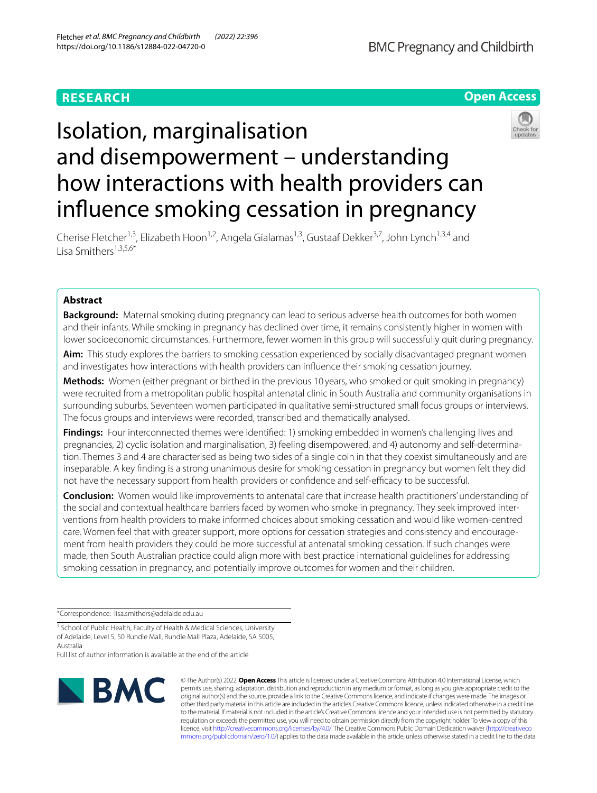# **RESEARCH**



# Isolation, marginalisation and disempowerment – understanding how interactions with health providers can infuence smoking cessation in pregnancy

Cherise Fletcher<sup>1,3</sup>, Elizabeth Hoon<sup>1,2</sup>, Angela Gialamas<sup>1,3</sup>, Gustaaf Dekker<sup>3,7</sup>, John Lynch<sup>1,3,4</sup> and Lisa Smithers $1,3,5,6*$ 

## **Abstract**

**Background:** Maternal smoking during pregnancy can lead to serious adverse health outcomes for both women and their infants. While smoking in pregnancy has declined over time, it remains consistently higher in women with lower socioeconomic circumstances. Furthermore, fewer women in this group will successfully quit during pregnancy.

**Aim:** This study explores the barriers to smoking cessation experienced by socially disadvantaged pregnant women and investigates how interactions with health providers can infuence their smoking cessation journey.

**Methods:** Women (either pregnant or birthed in the previous 10 years, who smoked or quit smoking in pregnancy) were recruited from a metropolitan public hospital antenatal clinic in South Australia and community organisations in surrounding suburbs. Seventeen women participated in qualitative semi-structured small focus groups or interviews. The focus groups and interviews were recorded, transcribed and thematically analysed.

Findings: Four interconnected themes were identified: 1) smoking embedded in women's challenging lives and pregnancies, 2) cyclic isolation and marginalisation, 3) feeling disempowered, and 4) autonomy and self-determination. Themes 3 and 4 are characterised as being two sides of a single coin in that they coexist simultaneously and are inseparable. A key fnding is a strong unanimous desire for smoking cessation in pregnancy but women felt they did not have the necessary support from health providers or confidence and self-efficacy to be successful.

**Conclusion:** Women would like improvements to antenatal care that increase health practitioners' understanding of the social and contextual healthcare barriers faced by women who smoke in pregnancy. They seek improved interventions from health providers to make informed choices about smoking cessation and would like women-centred care. Women feel that with greater support, more options for cessation strategies and consistency and encouragement from health providers they could be more successful at antenatal smoking cessation. If such changes were made, then South Australian practice could align more with best practice international guidelines for addressing smoking cessation in pregnancy, and potentially improve outcomes for women and their children.

\*Correspondence: lisa.smithers@adelaide.edu.au

<sup>1</sup> School of Public Health, Faculty of Health & Medical Sciences, University of Adelaide, Level 5, 50 Rundle Mall, Rundle Mall Plaza, Adelaide, SA 5005, Australia

Full list of author information is available at the end of the article



© The Author(s) 2022. **Open Access** This article is licensed under a Creative Commons Attribution 4.0 International License, which permits use, sharing, adaptation, distribution and reproduction in any medium or format, as long as you give appropriate credit to the original author(s) and the source, provide a link to the Creative Commons licence, and indicate if changes were made. The images or other third party material in this article are included in the article's Creative Commons licence, unless indicated otherwise in a credit line to the material. If material is not included in the article's Creative Commons licence and your intended use is not permitted by statutory regulation or exceeds the permitted use, you will need to obtain permission directly from the copyright holder. To view a copy of this licence, visit [http://creativecommons.org/licenses/by/4.0/.](http://creativecommons.org/licenses/by/4.0/) The Creative Commons Public Domain Dedication waiver ([http://creativeco](http://creativecommons.org/publicdomain/zero/1.0/) [mmons.org/publicdomain/zero/1.0/](http://creativecommons.org/publicdomain/zero/1.0/)) applies to the data made available in this article, unless otherwise stated in a credit line to the data.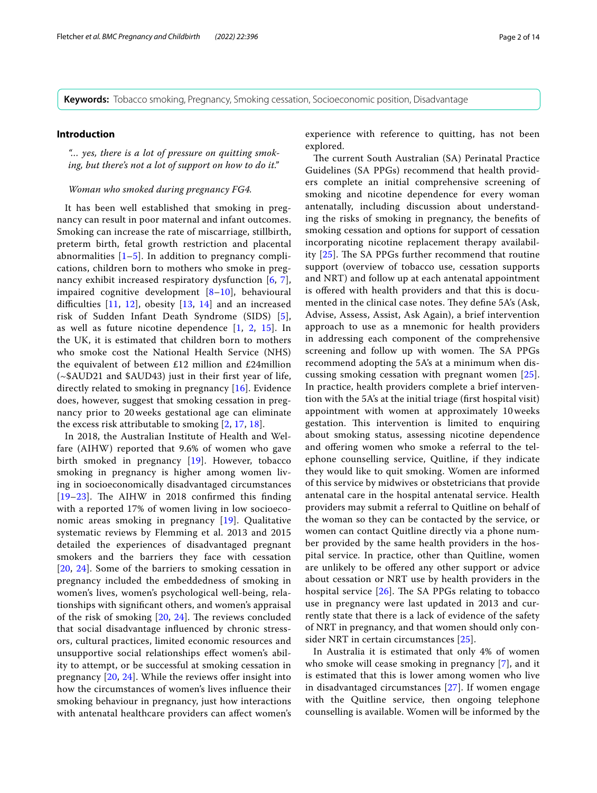**Keywords:** Tobacco smoking, Pregnancy, Smoking cessation, Socioeconomic position, Disadvantage

#### **Introduction**

*"… yes, there is a lot of pressure on quitting smoking, but there's not a lot of support on how to do it."*

#### *Woman who smoked during pregnancy FG4.*

It has been well established that smoking in pregnancy can result in poor maternal and infant outcomes. Smoking can increase the rate of miscarriage, stillbirth, preterm birth, fetal growth restriction and placental abnormalities  $[1–5]$  $[1–5]$  $[1–5]$ . In addition to pregnancy complications, children born to mothers who smoke in pregnancy exhibit increased respiratory dysfunction [[6](#page-12-2), [7\]](#page-12-3), impaired cognitive development [[8–](#page-12-4)[10\]](#page-12-5), behavioural difficulties  $[11, 12]$  $[11, 12]$  $[11, 12]$  $[11, 12]$ , obesity  $[13, 14]$  $[13, 14]$  $[13, 14]$  and an increased risk of Sudden Infant Death Syndrome (SIDS) [[5\]](#page-12-1), as well as future nicotine dependence [[1,](#page-12-0) [2](#page-12-10), [15\]](#page-12-11). In the UK, it is estimated that children born to mothers who smoke cost the National Health Service (NHS) the equivalent of between £12 million and £24million (~\$AUD21 and \$AUD43) just in their frst year of life, directly related to smoking in pregnancy [\[16\]](#page-12-12). Evidence does, however, suggest that smoking cessation in pregnancy prior to 20 weeks gestational age can eliminate the excess risk attributable to smoking [[2,](#page-12-10) [17,](#page-12-13) [18\]](#page-12-14).

In 2018, the Australian Institute of Health and Welfare (AIHW) reported that 9.6% of women who gave birth smoked in pregnancy [\[19](#page-12-15)]. However, tobacco smoking in pregnancy is higher among women living in socioeconomically disadvantaged circumstances [ $19-23$  $19-23$ ]. The AIHW in 2018 confirmed this finding with a reported 17% of women living in low socioeconomic areas smoking in pregnancy [[19\]](#page-12-15). Qualitative systematic reviews by Flemming et al. 2013 and 2015 detailed the experiences of disadvantaged pregnant smokers and the barriers they face with cessation [[20](#page-12-17), [24](#page-12-18)]. Some of the barriers to smoking cessation in pregnancy included the embeddedness of smoking in women's lives, women's psychological well-being, relationships with signifcant others, and women's appraisal of the risk of smoking  $[20, 24]$  $[20, 24]$  $[20, 24]$  $[20, 24]$ . The reviews concluded that social disadvantage infuenced by chronic stressors, cultural practices, limited economic resources and unsupportive social relationships efect women's ability to attempt, or be successful at smoking cessation in pregnancy  $[20, 24]$  $[20, 24]$  $[20, 24]$  $[20, 24]$  $[20, 24]$ . While the reviews offer insight into how the circumstances of women's lives infuence their smoking behaviour in pregnancy, just how interactions with antenatal healthcare providers can afect women's experience with reference to quitting, has not been explored.

The current South Australian (SA) Perinatal Practice Guidelines (SA PPGs) recommend that health providers complete an initial comprehensive screening of smoking and nicotine dependence for every woman antenatally, including discussion about understanding the risks of smoking in pregnancy, the benefts of smoking cessation and options for support of cessation incorporating nicotine replacement therapy availability  $[25]$  $[25]$  $[25]$ . The SA PPGs further recommend that routine support (overview of tobacco use, cessation supports and NRT) and follow up at each antenatal appointment is offered with health providers and that this is documented in the clinical case notes. They define 5A's (Ask, Advise, Assess, Assist, Ask Again), a brief intervention approach to use as a mnemonic for health providers in addressing each component of the comprehensive screening and follow up with women. The SA PPGs recommend adopting the 5A's at a minimum when discussing smoking cessation with pregnant women [[25](#page-12-19)]. In practice, health providers complete a brief intervention with the 5A's at the initial triage (frst hospital visit) appointment with women at approximately 10 weeks gestation. This intervention is limited to enquiring about smoking status, assessing nicotine dependence and offering women who smoke a referral to the telephone counselling service, Quitline, if they indicate they would like to quit smoking. Women are informed of this service by midwives or obstetricians that provide antenatal care in the hospital antenatal service. Health providers may submit a referral to Quitline on behalf of the woman so they can be contacted by the service, or women can contact Quitline directly via a phone number provided by the same health providers in the hospital service. In practice, other than Quitline, women are unlikely to be ofered any other support or advice about cessation or NRT use by health providers in the hospital service  $[26]$  $[26]$  $[26]$ . The SA PPGs relating to tobacco use in pregnancy were last updated in 2013 and currently state that there is a lack of evidence of the safety of NRT in pregnancy, and that women should only consider NRT in certain circumstances [\[25\]](#page-12-19).

In Australia it is estimated that only 4% of women who smoke will cease smoking in pregnancy [\[7](#page-12-3)], and it is estimated that this is lower among women who live in disadvantaged circumstances [[27\]](#page-12-21). If women engage with the Quitline service, then ongoing telephone counselling is available. Women will be informed by the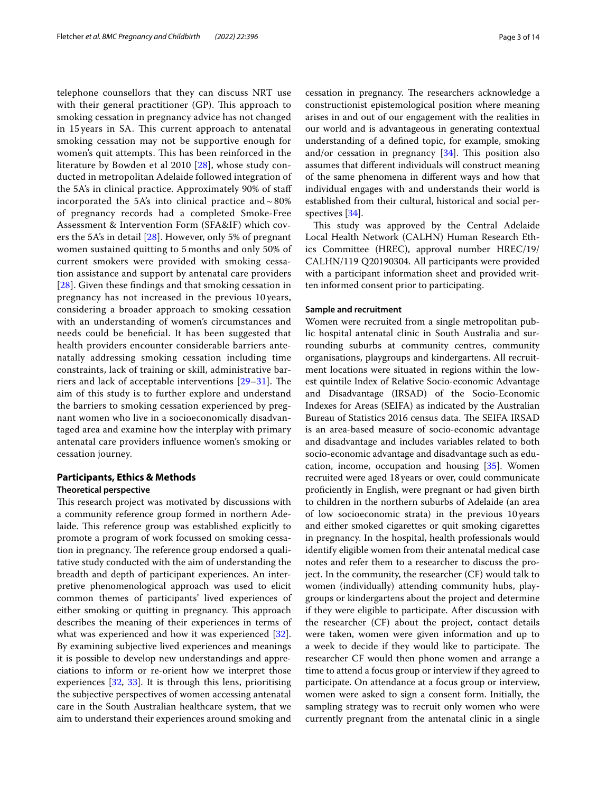telephone counsellors that they can discuss NRT use with their general practitioner  $(GP)$ . This approach to smoking cessation in pregnancy advice has not changed in 15 years in SA. This current approach to antenatal smoking cessation may not be supportive enough for women's quit attempts. This has been reinforced in the literature by Bowden et al 2010 [\[28](#page-12-22)], whose study conducted in metropolitan Adelaide followed integration of the 5A's in clinical practice. Approximately 90% of staf incorporated the 5A's into clinical practice and  $\sim$  80% of pregnancy records had a completed Smoke-Free Assessment & Intervention Form (SFA&IF) which covers the 5A's in detail [[28\]](#page-12-22). However, only 5% of pregnant women sustained quitting to 5 months and only 50% of current smokers were provided with smoking cessation assistance and support by antenatal care providers [[28](#page-12-22)]. Given these fndings and that smoking cessation in pregnancy has not increased in the previous 10 years, considering a broader approach to smoking cessation with an understanding of women's circumstances and needs could be benefcial. It has been suggested that health providers encounter considerable barriers antenatally addressing smoking cessation including time constraints, lack of training or skill, administrative barriers and lack of acceptable interventions  $[29-31]$  $[29-31]$  $[29-31]$ . The aim of this study is to further explore and understand the barriers to smoking cessation experienced by pregnant women who live in a socioeconomically disadvantaged area and examine how the interplay with primary antenatal care providers infuence women's smoking or cessation journey.

# **Participants, Ethics & Methods**

#### **Theoretical perspective**

This research project was motivated by discussions with a community reference group formed in northern Adelaide. This reference group was established explicitly to promote a program of work focussed on smoking cessation in pregnancy. The reference group endorsed a qualitative study conducted with the aim of understanding the breadth and depth of participant experiences. An interpretive phenomenological approach was used to elicit common themes of participants' lived experiences of either smoking or quitting in pregnancy. This approach describes the meaning of their experiences in terms of what was experienced and how it was experienced [\[32](#page-12-25)]. By examining subjective lived experiences and meanings it is possible to develop new understandings and appreciations to inform or re-orient how we interpret those experiences [[32](#page-12-25), [33](#page-12-26)]. It is through this lens, prioritising the subjective perspectives of women accessing antenatal care in the South Australian healthcare system, that we aim to understand their experiences around smoking and cessation in pregnancy. The researchers acknowledge a constructionist epistemological position where meaning arises in and out of our engagement with the realities in our world and is advantageous in generating contextual understanding of a defned topic, for example, smoking and/or cessation in pregnancy  $[34]$  $[34]$ . This position also assumes that diferent individuals will construct meaning of the same phenomena in diferent ways and how that individual engages with and understands their world is established from their cultural, historical and social perspectives [\[34](#page-12-27)].

This study was approved by the Central Adelaide Local Health Network (CALHN) Human Research Ethics Committee (HREC), approval number HREC/19/ CALHN/119 Q20190304. All participants were provided with a participant information sheet and provided written informed consent prior to participating.

#### **Sample and recruitment**

Women were recruited from a single metropolitan public hospital antenatal clinic in South Australia and surrounding suburbs at community centres, community organisations, playgroups and kindergartens. All recruitment locations were situated in regions within the lowest quintile Index of Relative Socio-economic Advantage and Disadvantage (IRSAD) of the Socio-Economic Indexes for Areas (SEIFA) as indicated by the Australian Bureau of Statistics 2016 census data. The SEIFA IRSAD is an area-based measure of socio-economic advantage and disadvantage and includes variables related to both socio-economic advantage and disadvantage such as education, income, occupation and housing [[35\]](#page-12-28). Women recruited were aged 18years or over, could communicate profciently in English, were pregnant or had given birth to children in the northern suburbs of Adelaide (an area of low socioeconomic strata) in the previous 10years and either smoked cigarettes or quit smoking cigarettes in pregnancy. In the hospital, health professionals would identify eligible women from their antenatal medical case notes and refer them to a researcher to discuss the project. In the community, the researcher (CF) would talk to women (individually) attending community hubs, playgroups or kindergartens about the project and determine if they were eligible to participate. After discussion with the researcher (CF) about the project, contact details were taken, women were given information and up to a week to decide if they would like to participate. The researcher CF would then phone women and arrange a time to attend a focus group or interview if they agreed to participate. On attendance at a focus group or interview, women were asked to sign a consent form. Initially, the sampling strategy was to recruit only women who were currently pregnant from the antenatal clinic in a single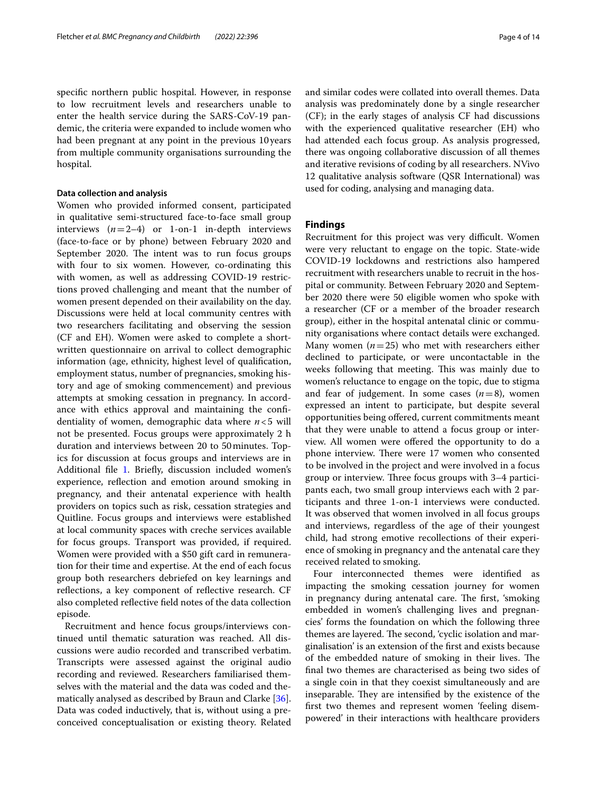specifc northern public hospital. However, in response to low recruitment levels and researchers unable to enter the health service during the SARS-CoV-19 pandemic, the criteria were expanded to include women who had been pregnant at any point in the previous 10years from multiple community organisations surrounding the hospital.

#### **Data collection and analysis**

Women who provided informed consent, participated in qualitative semi-structured face-to-face small group interviews  $(n=2-4)$  or 1-on-1 in-depth interviews (face-to-face or by phone) between February 2020 and September 2020. The intent was to run focus groups with four to six women. However, co-ordinating this with women, as well as addressing COVID-19 restrictions proved challenging and meant that the number of women present depended on their availability on the day. Discussions were held at local community centres with two researchers facilitating and observing the session (CF and EH). Women were asked to complete a shortwritten questionnaire on arrival to collect demographic information (age, ethnicity, highest level of qualifcation, employment status, number of pregnancies, smoking history and age of smoking commencement) and previous attempts at smoking cessation in pregnancy. In accordance with ethics approval and maintaining the confdentiality of women, demographic data where *n*<5 will not be presented. Focus groups were approximately 2 h duration and interviews between 20 to 50minutes. Topics for discussion at focus groups and interviews are in Additional file [1](#page-11-0). Briefly, discussion included women's experience, refection and emotion around smoking in pregnancy, and their antenatal experience with health providers on topics such as risk, cessation strategies and Quitline. Focus groups and interviews were established at local community spaces with creche services available for focus groups. Transport was provided, if required. Women were provided with a \$50 gift card in remuneration for their time and expertise. At the end of each focus group both researchers debriefed on key learnings and refections, a key component of refective research. CF also completed refective feld notes of the data collection episode.

Recruitment and hence focus groups/interviews continued until thematic saturation was reached. All discussions were audio recorded and transcribed verbatim. Transcripts were assessed against the original audio recording and reviewed. Researchers familiarised themselves with the material and the data was coded and thematically analysed as described by Braun and Clarke [\[36](#page-12-29)]. Data was coded inductively, that is, without using a preconceived conceptualisation or existing theory. Related and similar codes were collated into overall themes. Data analysis was predominately done by a single researcher (CF); in the early stages of analysis CF had discussions with the experienced qualitative researcher (EH) who had attended each focus group. As analysis progressed, there was ongoing collaborative discussion of all themes and iterative revisions of coding by all researchers. NVivo 12 qualitative analysis software (QSR International) was used for coding, analysing and managing data.

#### **Findings**

Recruitment for this project was very difficult. Women were very reluctant to engage on the topic. State-wide COVID-19 lockdowns and restrictions also hampered recruitment with researchers unable to recruit in the hospital or community. Between February 2020 and September 2020 there were 50 eligible women who spoke with a researcher (CF or a member of the broader research group), either in the hospital antenatal clinic or community organisations where contact details were exchanged. Many women  $(n=25)$  who met with researchers either declined to participate, or were uncontactable in the weeks following that meeting. This was mainly due to women's reluctance to engage on the topic, due to stigma and fear of judgement. In some cases  $(n=8)$ , women expressed an intent to participate, but despite several opportunities being ofered, current commitments meant that they were unable to attend a focus group or interview. All women were offered the opportunity to do a phone interview. There were 17 women who consented to be involved in the project and were involved in a focus group or interview. Three focus groups with 3–4 participants each, two small group interviews each with 2 participants and three 1-on-1 interviews were conducted. It was observed that women involved in all focus groups and interviews, regardless of the age of their youngest child, had strong emotive recollections of their experience of smoking in pregnancy and the antenatal care they received related to smoking.

Four interconnected themes were identifed as impacting the smoking cessation journey for women in pregnancy during antenatal care. The first, 'smoking embedded in women's challenging lives and pregnancies' forms the foundation on which the following three themes are layered. The second, 'cyclic isolation and marginalisation' is an extension of the frst and exists because of the embedded nature of smoking in their lives. The fnal two themes are characterised as being two sides of a single coin in that they coexist simultaneously and are inseparable. They are intensified by the existence of the frst two themes and represent women 'feeling disempowered' in their interactions with healthcare providers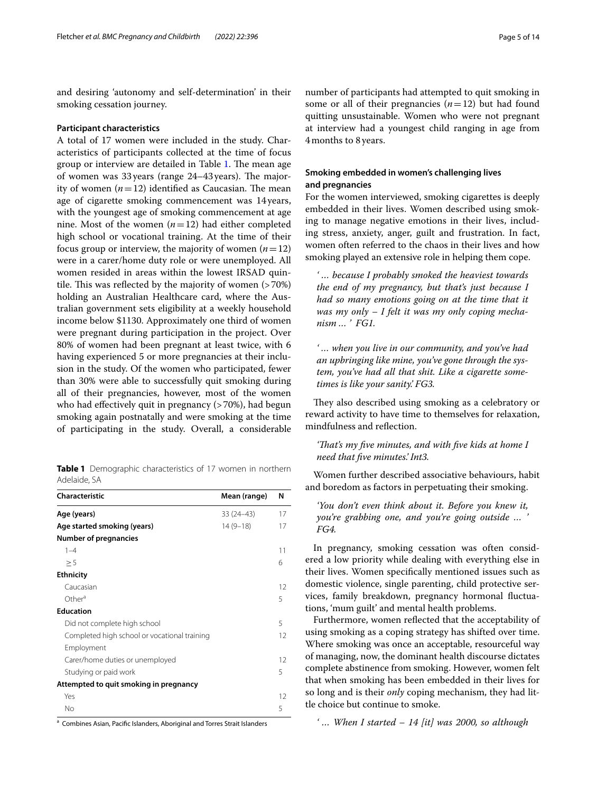and desiring 'autonomy and self-determination' in their smoking cessation journey.

#### **Participant characteristics**

A total of 17 women were included in the study. Characteristics of participants collected at the time of focus group or interview are detailed in Table [1](#page-4-0). The mean age of women was  $33$  years (range  $24-43$  years). The majority of women  $(n=12)$  identified as Caucasian. The mean age of cigarette smoking commencement was 14 years, with the youngest age of smoking commencement at age nine. Most of the women  $(n=12)$  had either completed high school or vocational training. At the time of their focus group or interview, the majority of women  $(n=12)$ were in a carer/home duty role or were unemployed. All women resided in areas within the lowest IRSAD quintile. This was reflected by the majority of women  $($ >70%) holding an Australian Healthcare card, where the Australian government sets eligibility at a weekly household income below \$1130. Approximately one third of women were pregnant during participation in the project. Over 80% of women had been pregnant at least twice, with 6 having experienced 5 or more pregnancies at their inclusion in the study. Of the women who participated, fewer than 30% were able to successfully quit smoking during all of their pregnancies, however, most of the women who had effectively quit in pregnancy (>70%), had begun smoking again postnatally and were smoking at the time of participating in the study. Overall, a considerable

<span id="page-4-0"></span>**Table 1** Demographic characteristics of 17 women in northern Adelaide, SA

| <b>Characteristic</b>                        | Mean (range) | N  |
|----------------------------------------------|--------------|----|
| Age (years)                                  | $33(24-43)$  | 17 |
| Age started smoking (years)                  | $14(9-18)$   | 17 |
| <b>Number of pregnancies</b>                 |              |    |
| $1 - 4$                                      |              | 11 |
| > 5                                          |              | 6  |
| <b>Ethnicity</b>                             |              |    |
| Caucasian                                    |              | 12 |
| Other <sup>a</sup>                           |              | 5  |
| <b>Education</b>                             |              |    |
| Did not complete high school                 |              | 5  |
| Completed high school or vocational training |              | 12 |
| Employment                                   |              |    |
| Carer/home duties or unemployed              |              | 12 |
| Studying or paid work                        |              | 5  |
| Attempted to quit smoking in pregnancy       |              |    |
| Yes                                          |              | 12 |
| No                                           |              | 5  |

<sup>a</sup> Combines Asian, Pacific Islanders, Aboriginal and Torres Strait Islanders

number of participants had attempted to quit smoking in some or all of their pregnancies  $(n=12)$  but had found quitting unsustainable. Women who were not pregnant at interview had a youngest child ranging in age from 4months to 8years.

#### **Smoking embedded in women's challenging lives and pregnancies**

For the women interviewed, smoking cigarettes is deeply embedded in their lives. Women described using smoking to manage negative emotions in their lives, including stress, anxiety, anger, guilt and frustration. In fact, women often referred to the chaos in their lives and how smoking played an extensive role in helping them cope.

*' … because I probably smoked the heaviest towards the end of my pregnancy, but that's just because I had so many emotions going on at the time that it was my only – I felt it was my only coping mechanism … ' FG1.*

*' … when you live in our community, and you've had an upbringing like mine, you've gone through the system, you've had all that shit. Like a cigarette sometimes is like your sanity.' FG3.*

They also described using smoking as a celebratory or reward activity to have time to themselves for relaxation, mindfulness and refection.

#### *'Tat's my fve minutes, and with fve kids at home I need that fve minutes.' Int3.*

Women further described associative behaviours, habit and boredom as factors in perpetuating their smoking.

*'You don't even think about it. Before you knew it, you're grabbing one, and you're going outside … ' FG4.*

In pregnancy, smoking cessation was often considered a low priority while dealing with everything else in their lives. Women specifcally mentioned issues such as domestic violence, single parenting, child protective services, family breakdown, pregnancy hormonal fuctuations, 'mum guilt' and mental health problems.

Furthermore, women refected that the acceptability of using smoking as a coping strategy has shifted over time. Where smoking was once an acceptable, resourceful way of managing, now, the dominant health discourse dictates complete abstinence from smoking. However, women felt that when smoking has been embedded in their lives for so long and is their *only* coping mechanism, they had little choice but continue to smoke.

*' … When I started – 14 [it] was 2000, so although*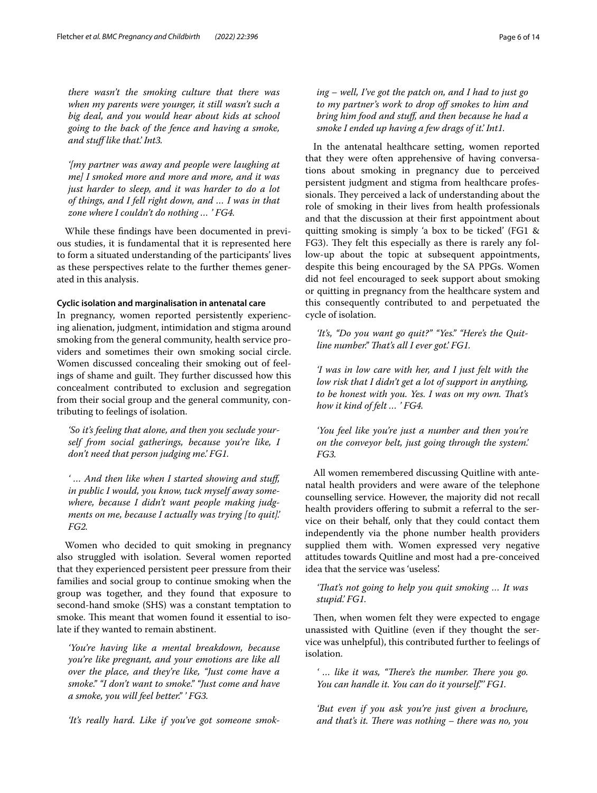*there wasn't the smoking culture that there was when my parents were younger, it still wasn't such a big deal, and you would hear about kids at school going to the back of the fence and having a smoke, and stuf like that.' Int3.*

*'[my partner was away and people were laughing at me] I smoked more and more and more, and it was just harder to sleep, and it was harder to do a lot of things, and I fell right down, and … I was in that zone where I couldn't do nothing … ' FG4.*

While these fndings have been documented in previous studies, it is fundamental that it is represented here to form a situated understanding of the participants' lives as these perspectives relate to the further themes generated in this analysis.

#### **Cyclic isolation and marginalisation in antenatal care**

In pregnancy, women reported persistently experiencing alienation, judgment, intimidation and stigma around smoking from the general community, health service providers and sometimes their own smoking social circle. Women discussed concealing their smoking out of feelings of shame and guilt. They further discussed how this concealment contributed to exclusion and segregation from their social group and the general community, contributing to feelings of isolation.

*'So it's feeling that alone, and then you seclude yourself from social gatherings, because you're like, I don't need that person judging me.' FG1.*

*' … And then like when I started showing and stuf, in public I would, you know, tuck myself away somewhere, because I didn't want people making judgments on me, because I actually was trying [to quit].' FG2.*

Women who decided to quit smoking in pregnancy also struggled with isolation. Several women reported that they experienced persistent peer pressure from their families and social group to continue smoking when the group was together, and they found that exposure to second-hand smoke (SHS) was a constant temptation to smoke. This meant that women found it essential to isolate if they wanted to remain abstinent.

*'You're having like a mental breakdown, because you're like pregnant, and your emotions are like all over the place, and they're like, "Just come have a smoke." "I don't want to smoke." "Just come and have a smoke, you will feel better." ' FG3.*

*'It's really hard. Like if you've got someone smok-*

*ing – well, I've got the patch on, and I had to just go to my partner's work to drop of smokes to him and bring him food and stuf, and then because he had a smoke I ended up having a few drags of it.' Int1.*

In the antenatal healthcare setting, women reported that they were often apprehensive of having conversations about smoking in pregnancy due to perceived persistent judgment and stigma from healthcare professionals. They perceived a lack of understanding about the role of smoking in their lives from health professionals and that the discussion at their frst appointment about quitting smoking is simply 'a box to be ticked' (FG1 & FG3). They felt this especially as there is rarely any follow-up about the topic at subsequent appointments, despite this being encouraged by the SA PPGs. Women did not feel encouraged to seek support about smoking or quitting in pregnancy from the healthcare system and this consequently contributed to and perpetuated the cycle of isolation.

*'It's, "Do you want go quit?" "Yes." "Here's the Quitline number.*" *That's all I ever got.' FG1.* 

*'I was in low care with her, and I just felt with the low risk that I didn't get a lot of support in anything, to be honest with you. Yes. I was on my own. Tat's how it kind of felt … ' FG4.*

*'You feel like you're just a number and then you're on the conveyor belt, just going through the system.' FG3.*

All women remembered discussing Quitline with antenatal health providers and were aware of the telephone counselling service. However, the majority did not recall health providers offering to submit a referral to the service on their behalf, only that they could contact them independently via the phone number health providers supplied them with. Women expressed very negative attitudes towards Quitline and most had a pre-conceived idea that the service was 'useless'.

*'Tat's not going to help you quit smoking … It was stupid.' FG1.*

Then, when women felt they were expected to engage unassisted with Quitline (even if they thought the service was unhelpful), this contributed further to feelings of isolation.

' ... like it was, "There's the number. There you go. *You can handle it. You can do it yourself."' FG1.*

*'But even if you ask you're just given a brochure, and that's it. There was nothing – there was no, you*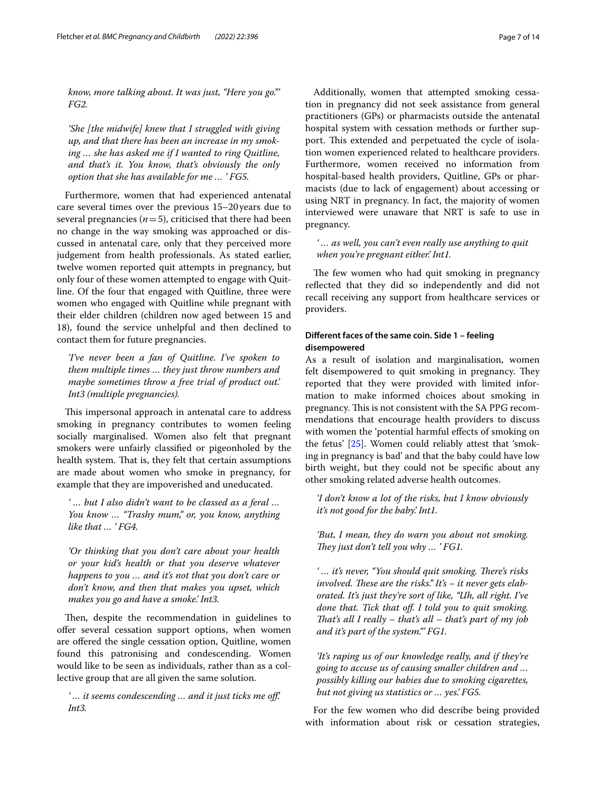*know, more talking about. It was just, "Here you go."' FG2.*

*'She [the midwife] knew that I struggled with giving up, and that there has been an increase in my smoking … she has asked me if I wanted to ring Quitline, and that's it. You know, that's obviously the only option that she has available for me … ' FG5.*

Furthermore, women that had experienced antenatal care several times over the previous 15–20years due to several pregnancies ( $n=5$ ), criticised that there had been no change in the way smoking was approached or discussed in antenatal care, only that they perceived more judgement from health professionals. As stated earlier, twelve women reported quit attempts in pregnancy, but only four of these women attempted to engage with Quitline. Of the four that engaged with Quitline, three were women who engaged with Quitline while pregnant with their elder children (children now aged between 15 and 18), found the service unhelpful and then declined to contact them for future pregnancies.

*'I've never been a fan of Quitline. I've spoken to them multiple times … they just throw numbers and maybe sometimes throw a free trial of product out.' Int3 (multiple pregnancies).*

This impersonal approach in antenatal care to address smoking in pregnancy contributes to women feeling socially marginalised. Women also felt that pregnant smokers were unfairly classifed or pigeonholed by the health system. That is, they felt that certain assumptions are made about women who smoke in pregnancy, for example that they are impoverished and uneducated.

*' … but I also didn't want to be classed as a feral … You know … "Trashy mum," or, you know, anything like that … ' FG4.*

*'Or thinking that you don't care about your health or your kid's health or that you deserve whatever happens to you … and it's not that you don't care or don't know, and then that makes you upset, which makes you go and have a smoke.' Int3.*

Then, despite the recommendation in guidelines to offer several cessation support options, when women are offered the single cessation option, Quitline, women found this patronising and condescending. Women would like to be seen as individuals, rather than as a collective group that are all given the same solution.

*' … it seems condescending … and it just ticks me of.' Int3.*

Additionally, women that attempted smoking cessation in pregnancy did not seek assistance from general practitioners (GPs) or pharmacists outside the antenatal hospital system with cessation methods or further support. This extended and perpetuated the cycle of isolation women experienced related to healthcare providers. Furthermore, women received no information from hospital-based health providers, Quitline, GPs or pharmacists (due to lack of engagement) about accessing or using NRT in pregnancy. In fact, the majority of women interviewed were unaware that NRT is safe to use in pregnancy.

*' … as well, you can't even really use anything to quit when you're pregnant either.' Int1.*

The few women who had quit smoking in pregnancy refected that they did so independently and did not recall receiving any support from healthcare services or providers.

### **Diferent faces of the same coin. Side 1 – feeling disempowered**

As a result of isolation and marginalisation, women felt disempowered to quit smoking in pregnancy. They reported that they were provided with limited information to make informed choices about smoking in pregnancy. This is not consistent with the SA PPG recommendations that encourage health providers to discuss with women the 'potential harmful effects of smoking on the fetus' [\[25](#page-12-19)]. Women could reliably attest that 'smoking in pregnancy is bad' and that the baby could have low birth weight, but they could not be specifc about any other smoking related adverse health outcomes.

*'I don't know a lot of the risks, but I know obviously it's not good for the baby.' Int1.*

*'But, I mean, they do warn you about not smoking. They just don't tell you why ... ' FG1.* 

'... it's never, "You should quit smoking. There's risks involved. These are the risks." It's – it never gets elab*orated. It's just they're sort of like, "Uh, all right. I've done that. Tick that of. I told you to quit smoking. Tat's all I really – that's all – that's part of my job and it's part of the system."' FG1.*

*'It's raping us of our knowledge really, and if they're going to accuse us of causing smaller children and … possibly killing our babies due to smoking cigarettes, but not giving us statistics or … yes.' FG5.*

For the few women who did describe being provided with information about risk or cessation strategies,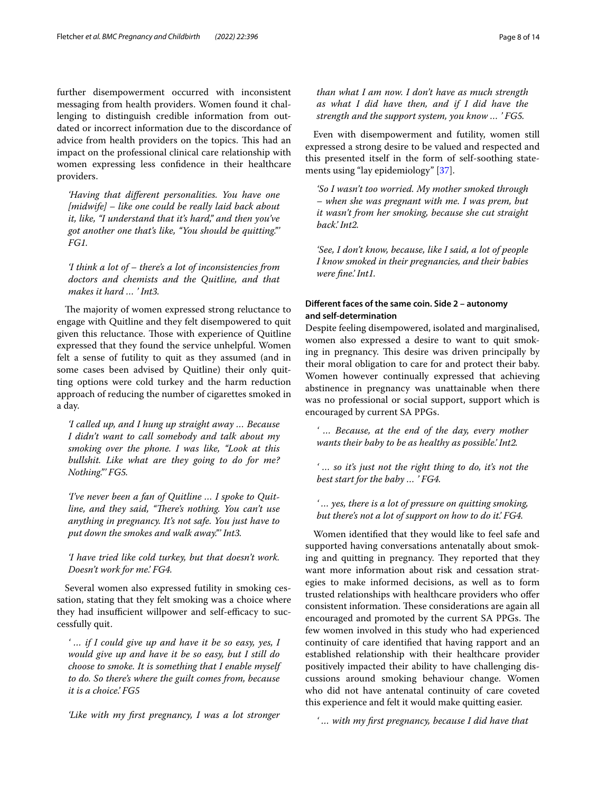further disempowerment occurred with inconsistent messaging from health providers. Women found it challenging to distinguish credible information from outdated or incorrect information due to the discordance of advice from health providers on the topics. This had an impact on the professional clinical care relationship with women expressing less confdence in their healthcare providers.

*'Having that diferent personalities. You have one [midwife] – like one could be really laid back about it, like, "I understand that it's hard," and then you've got another one that's like, "You should be quitting."' FG1.*

*'I think a lot of – there's a lot of inconsistencies from doctors and chemists and the Quitline, and that makes it hard … ' Int3.*

The majority of women expressed strong reluctance to engage with Quitline and they felt disempowered to quit given this reluctance. Those with experience of Quitline expressed that they found the service unhelpful. Women felt a sense of futility to quit as they assumed (and in some cases been advised by Quitline) their only quitting options were cold turkey and the harm reduction approach of reducing the number of cigarettes smoked in a day.

*'I called up, and I hung up straight away … Because I didn't want to call somebody and talk about my smoking over the phone. I was like, "Look at this bullshit. Like what are they going to do for me? Nothing."' FG5.*

*'I've never been a fan of Quitline … I spoke to Quitline, and they said, "There's nothing. You can't use anything in pregnancy. It's not safe. You just have to put down the smokes and walk away."' Int3.*

*'I have tried like cold turkey, but that doesn't work. Doesn't work for me.' FG4.*

Several women also expressed futility in smoking cessation, stating that they felt smoking was a choice where they had insufficient willpower and self-efficacy to successfully quit.

*' … if I could give up and have it be so easy, yes, I would give up and have it be so easy, but I still do choose to smoke. It is something that I enable myself to do. So there's where the guilt comes from, because it is a choice.' FG5*

*'Like with my frst pregnancy, I was a lot stronger* 

*than what I am now. I don't have as much strength as what I did have then, and if I did have the strength and the support system, you know … ' FG5.*

Even with disempowerment and futility, women still expressed a strong desire to be valued and respected and this presented itself in the form of self-soothing statements using "lay epidemiology" [[37](#page-12-30)].

*'So I wasn't too worried. My mother smoked through – when she was pregnant with me. I was prem, but it wasn't from her smoking, because she cut straight back.' Int2.*

*'See, I don't know, because, like I said, a lot of people I know smoked in their pregnancies, and their babies were fne.' Int1.*

#### **Diferent faces of the same coin. Side 2 – autonomy and self‑determination**

Despite feeling disempowered, isolated and marginalised, women also expressed a desire to want to quit smoking in pregnancy. This desire was driven principally by their moral obligation to care for and protect their baby. Women however continually expressed that achieving abstinence in pregnancy was unattainable when there was no professional or social support, support which is encouraged by current SA PPGs.

*' … Because, at the end of the day, every mother wants their baby to be as healthy as possible.' Int2.*

*' … so it's just not the right thing to do, it's not the best start for the baby … ' FG4.*

*' … yes, there is a lot of pressure on quitting smoking, but there's not a lot of support on how to do it.' FG4.*

Women identifed that they would like to feel safe and supported having conversations antenatally about smoking and quitting in pregnancy. They reported that they want more information about risk and cessation strategies to make informed decisions, as well as to form trusted relationships with healthcare providers who ofer consistent information. These considerations are again all encouraged and promoted by the current SA PPGs. The few women involved in this study who had experienced continuity of care identifed that having rapport and an established relationship with their healthcare provider positively impacted their ability to have challenging discussions around smoking behaviour change. Women who did not have antenatal continuity of care coveted this experience and felt it would make quitting easier.

*' … with my frst pregnancy, because I did have that*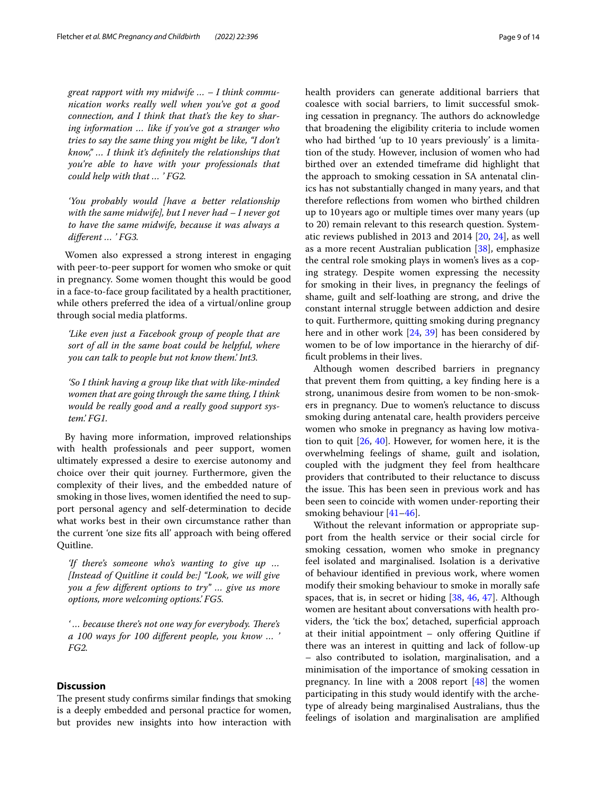*great rapport with my midwife … – I think communication works really well when you've got a good connection, and I think that that's the key to sharing information … like if you've got a stranger who tries to say the same thing you might be like, "I don't know," … I think it's defnitely the relationships that you're able to have with your professionals that could help with that … ' FG2.*

*'You probably would [have a better relationship with the same midwife], but I never had – I never got to have the same midwife, because it was always a diferent … ' FG3.*

Women also expressed a strong interest in engaging with peer-to-peer support for women who smoke or quit in pregnancy. Some women thought this would be good in a face-to-face group facilitated by a health practitioner, while others preferred the idea of a virtual/online group through social media platforms.

*'Like even just a Facebook group of people that are sort of all in the same boat could be helpful, where you can talk to people but not know them.' Int3.*

*'So I think having a group like that with like-minded women that are going through the same thing, I think would be really good and a really good support system.' FG1.*

By having more information, improved relationships with health professionals and peer support, women ultimately expressed a desire to exercise autonomy and choice over their quit journey. Furthermore, given the complexity of their lives, and the embedded nature of smoking in those lives, women identifed the need to support personal agency and self-determination to decide what works best in their own circumstance rather than the current 'one size fts all' approach with being ofered Quitline.

*'If there's someone who's wanting to give up … [Instead of Quitline it could be:] "Look, we will give you a few diferent options to try" … give us more options, more welcoming options.' FG5.*

'... because there's not one way for everybody. There's *a 100 ways for 100 diferent people, you know … ' FG2.*

#### **Discussion**

The present study confirms similar findings that smoking is a deeply embedded and personal practice for women, but provides new insights into how interaction with health providers can generate additional barriers that coalesce with social barriers, to limit successful smoking cessation in pregnancy. The authors do acknowledge that broadening the eligibility criteria to include women who had birthed 'up to 10 years previously' is a limitation of the study. However, inclusion of women who had birthed over an extended timeframe did highlight that the approach to smoking cessation in SA antenatal clinics has not substantially changed in many years, and that therefore refections from women who birthed children up to 10years ago or multiple times over many years (up to 20) remain relevant to this research question. Systematic reviews published in 2013 and 2014 [\[20](#page-12-17), [24](#page-12-18)], as well as a more recent Australian publication [[38\]](#page-12-31), emphasize the central role smoking plays in women's lives as a coping strategy. Despite women expressing the necessity for smoking in their lives, in pregnancy the feelings of shame, guilt and self-loathing are strong, and drive the constant internal struggle between addiction and desire to quit. Furthermore, quitting smoking during pregnancy here and in other work [[24,](#page-12-18) [39\]](#page-12-32) has been considered by women to be of low importance in the hierarchy of diffcult problems in their lives.

Although women described barriers in pregnancy that prevent them from quitting, a key fnding here is a strong, unanimous desire from women to be non-smokers in pregnancy. Due to women's reluctance to discuss smoking during antenatal care, health providers perceive women who smoke in pregnancy as having low motivation to quit  $[26, 40]$  $[26, 40]$  $[26, 40]$  $[26, 40]$  $[26, 40]$ . However, for women here, it is the overwhelming feelings of shame, guilt and isolation, coupled with the judgment they feel from healthcare providers that contributed to their reluctance to discuss the issue. This has been seen in previous work and has been seen to coincide with women under-reporting their smoking behaviour [\[41](#page-12-34)[–46\]](#page-13-0).

Without the relevant information or appropriate support from the health service or their social circle for smoking cessation, women who smoke in pregnancy feel isolated and marginalised. Isolation is a derivative of behaviour identifed in previous work, where women modify their smoking behaviour to smoke in morally safe spaces, that is, in secret or hiding [\[38,](#page-12-31) [46](#page-13-0), [47](#page-13-1)]. Although women are hesitant about conversations with health providers, the 'tick the box', detached, superficial approach at their initial appointment  $-$  only offering Quitline if there was an interest in quitting and lack of follow-up – also contributed to isolation, marginalisation, and a minimisation of the importance of smoking cessation in pregnancy. In line with a 2008 report [[48\]](#page-13-2) the women participating in this study would identify with the archetype of already being marginalised Australians, thus the feelings of isolation and marginalisation are amplifed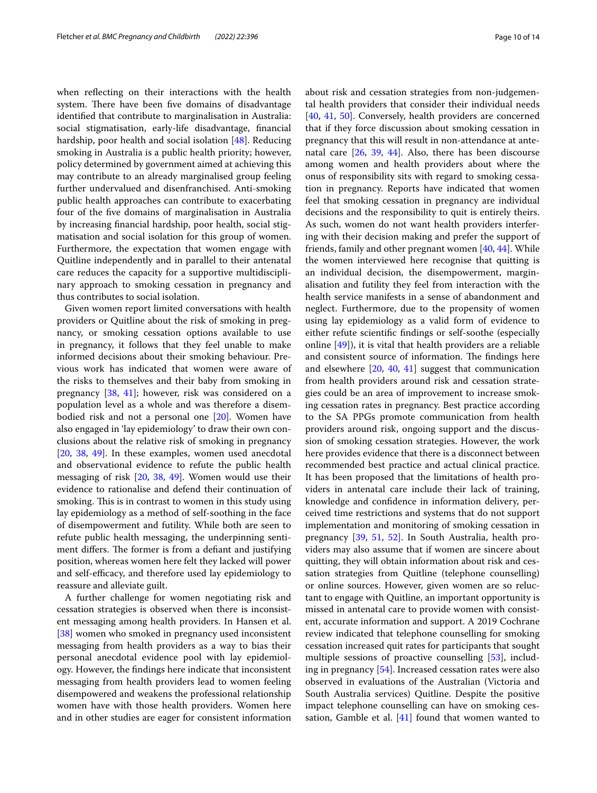when refecting on their interactions with the health system. There have been five domains of disadvantage identifed that contribute to marginalisation in Australia: social stigmatisation, early-life disadvantage, fnancial hardship, poor health and social isolation [[48\]](#page-13-2). Reducing smoking in Australia is a public health priority; however, policy determined by government aimed at achieving this may contribute to an already marginalised group feeling further undervalued and disenfranchised. Anti-smoking public health approaches can contribute to exacerbating four of the fve domains of marginalisation in Australia by increasing fnancial hardship, poor health, social stigmatisation and social isolation for this group of women. Furthermore, the expectation that women engage with Quitline independently and in parallel to their antenatal care reduces the capacity for a supportive multidisciplinary approach to smoking cessation in pregnancy and thus contributes to social isolation.

Given women report limited conversations with health providers or Quitline about the risk of smoking in pregnancy, or smoking cessation options available to use in pregnancy, it follows that they feel unable to make informed decisions about their smoking behaviour. Previous work has indicated that women were aware of the risks to themselves and their baby from smoking in pregnancy [[38,](#page-12-31) [41](#page-12-34)]; however, risk was considered on a population level as a whole and was therefore a disembodied risk and not a personal one [[20\]](#page-12-17). Women have also engaged in 'lay epidemiology' to draw their own conclusions about the relative risk of smoking in pregnancy [[20,](#page-12-17) [38,](#page-12-31) [49\]](#page-13-3). In these examples, women used anecdotal and observational evidence to refute the public health messaging of risk [\[20,](#page-12-17) [38,](#page-12-31) [49\]](#page-13-3). Women would use their evidence to rationalise and defend their continuation of smoking. This is in contrast to women in this study using lay epidemiology as a method of self-soothing in the face of disempowerment and futility. While both are seen to refute public health messaging, the underpinning sentiment differs. The former is from a defiant and justifying position, whereas women here felt they lacked will power and self-efficacy, and therefore used lay epidemiology to reassure and alleviate guilt.

A further challenge for women negotiating risk and cessation strategies is observed when there is inconsistent messaging among health providers. In Hansen et al. [[38\]](#page-12-31) women who smoked in pregnancy used inconsistent messaging from health providers as a way to bias their personal anecdotal evidence pool with lay epidemiology. However, the fndings here indicate that inconsistent messaging from health providers lead to women feeling disempowered and weakens the professional relationship women have with those health providers. Women here and in other studies are eager for consistent information about risk and cessation strategies from non-judgemental health providers that consider their individual needs [[40,](#page-12-33) [41](#page-12-34), [50\]](#page-13-4). Conversely, health providers are concerned that if they force discussion about smoking cessation in pregnancy that this will result in non-attendance at antenatal care [\[26,](#page-12-20) [39](#page-12-32), [44\]](#page-13-5). Also, there has been discourse among women and health providers about where the onus of responsibility sits with regard to smoking cessation in pregnancy. Reports have indicated that women feel that smoking cessation in pregnancy are individual decisions and the responsibility to quit is entirely theirs. As such, women do not want health providers interfering with their decision making and prefer the support of friends, family and other pregnant women [[40,](#page-12-33) [44\]](#page-13-5). While the women interviewed here recognise that quitting is an individual decision, the disempowerment, marginalisation and futility they feel from interaction with the health service manifests in a sense of abandonment and neglect. Furthermore, due to the propensity of women using lay epidemiology as a valid form of evidence to either refute scientifc fndings or self-soothe (especially online [[49](#page-13-3)]), it is vital that health providers are a reliable and consistent source of information. The findings here and elsewhere [\[20](#page-12-17), [40,](#page-12-33) [41\]](#page-12-34) suggest that communication from health providers around risk and cessation strategies could be an area of improvement to increase smoking cessation rates in pregnancy. Best practice according to the SA PPGs promote communication from health providers around risk, ongoing support and the discussion of smoking cessation strategies. However, the work here provides evidence that there is a disconnect between recommended best practice and actual clinical practice. It has been proposed that the limitations of health providers in antenatal care include their lack of training, knowledge and confdence in information delivery, perceived time restrictions and systems that do not support implementation and monitoring of smoking cessation in pregnancy [[39,](#page-12-32) [51,](#page-13-6) [52](#page-13-7)]. In South Australia, health providers may also assume that if women are sincere about quitting, they will obtain information about risk and cessation strategies from Quitline (telephone counselling) or online sources. However, given women are so reluctant to engage with Quitline, an important opportunity is missed in antenatal care to provide women with consistent, accurate information and support. A 2019 Cochrane review indicated that telephone counselling for smoking cessation increased quit rates for participants that sought multiple sessions of proactive counselling [[53\]](#page-13-8), including in pregnancy [[54\]](#page-13-9). Increased cessation rates were also observed in evaluations of the Australian (Victoria and South Australia services) Quitline. Despite the positive impact telephone counselling can have on smoking cessation, Gamble et al.  $[41]$  $[41]$  $[41]$  found that women wanted to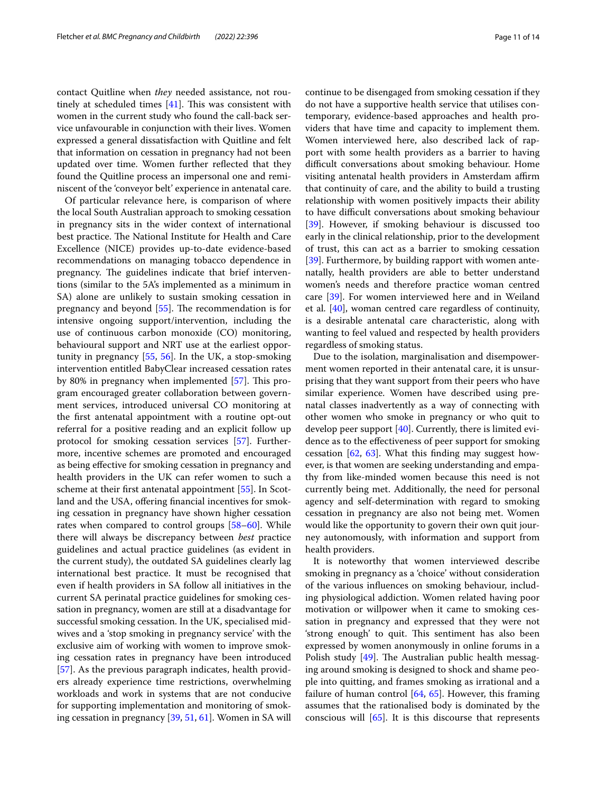contact Quitline when *they* needed assistance, not routinely at scheduled times  $[41]$  $[41]$ . This was consistent with women in the current study who found the call-back service unfavourable in conjunction with their lives. Women expressed a general dissatisfaction with Quitline and felt that information on cessation in pregnancy had not been updated over time. Women further refected that they found the Quitline process an impersonal one and reminiscent of the 'conveyor belt' experience in antenatal care.

Of particular relevance here, is comparison of where the local South Australian approach to smoking cessation in pregnancy sits in the wider context of international best practice. The National Institute for Health and Care Excellence (NICE) provides up-to-date evidence-based recommendations on managing tobacco dependence in pregnancy. The guidelines indicate that brief interventions (similar to the 5A's implemented as a minimum in SA) alone are unlikely to sustain smoking cessation in pregnancy and beyond  $[55]$ . The recommendation is for intensive ongoing support/intervention, including the use of continuous carbon monoxide (CO) monitoring, behavioural support and NRT use at the earliest opportunity in pregnancy [[55,](#page-13-10) [56](#page-13-11)]. In the UK, a stop-smoking intervention entitled BabyClear increased cessation rates by 80% in pregnancy when implemented [[57](#page-13-12)]. This program encouraged greater collaboration between government services, introduced universal CO monitoring at the frst antenatal appointment with a routine opt-out referral for a positive reading and an explicit follow up protocol for smoking cessation services [\[57\]](#page-13-12). Furthermore, incentive schemes are promoted and encouraged as being efective for smoking cessation in pregnancy and health providers in the UK can refer women to such a scheme at their frst antenatal appointment [\[55\]](#page-13-10). In Scotland and the USA, offering financial incentives for smoking cessation in pregnancy have shown higher cessation rates when compared to control groups [[58–](#page-13-13)[60](#page-13-14)]. While there will always be discrepancy between *best* practice guidelines and actual practice guidelines (as evident in the current study), the outdated SA guidelines clearly lag international best practice. It must be recognised that even if health providers in SA follow all initiatives in the current SA perinatal practice guidelines for smoking cessation in pregnancy, women are still at a disadvantage for successful smoking cessation. In the UK, specialised midwives and a 'stop smoking in pregnancy service' with the exclusive aim of working with women to improve smoking cessation rates in pregnancy have been introduced [[57\]](#page-13-12). As the previous paragraph indicates, health providers already experience time restrictions, overwhelming workloads and work in systems that are not conducive for supporting implementation and monitoring of smoking cessation in pregnancy [\[39,](#page-12-32) [51](#page-13-6), [61\]](#page-13-15). Women in SA will continue to be disengaged from smoking cessation if they do not have a supportive health service that utilises contemporary, evidence-based approaches and health providers that have time and capacity to implement them. Women interviewed here, also described lack of rapport with some health providers as a barrier to having difficult conversations about smoking behaviour. Home visiting antenatal health providers in Amsterdam affirm that continuity of care, and the ability to build a trusting relationship with women positively impacts their ability to have difficult conversations about smoking behaviour [[39\]](#page-12-32). However, if smoking behaviour is discussed too early in the clinical relationship, prior to the development of trust, this can act as a barrier to smoking cessation [[39\]](#page-12-32). Furthermore, by building rapport with women antenatally, health providers are able to better understand women's needs and therefore practice woman centred care [[39\]](#page-12-32). For women interviewed here and in Weiland et al. [[40\]](#page-12-33), woman centred care regardless of continuity, is a desirable antenatal care characteristic, along with wanting to feel valued and respected by health providers regardless of smoking status.

Due to the isolation, marginalisation and disempowerment women reported in their antenatal care, it is unsurprising that they want support from their peers who have similar experience. Women have described using prenatal classes inadvertently as a way of connecting with other women who smoke in pregnancy or who quit to develop peer support [\[40](#page-12-33)]. Currently, there is limited evidence as to the efectiveness of peer support for smoking cessation [\[62,](#page-13-16) [63\]](#page-13-17). What this fnding may suggest however, is that women are seeking understanding and empathy from like-minded women because this need is not currently being met. Additionally, the need for personal agency and self-determination with regard to smoking cessation in pregnancy are also not being met. Women would like the opportunity to govern their own quit journey autonomously, with information and support from health providers.

It is noteworthy that women interviewed describe smoking in pregnancy as a 'choice' without consideration of the various infuences on smoking behaviour, including physiological addiction. Women related having poor motivation or willpower when it came to smoking cessation in pregnancy and expressed that they were not 'strong enough' to quit. This sentiment has also been expressed by women anonymously in online forums in a Polish study  $[49]$  $[49]$ . The Australian public health messaging around smoking is designed to shock and shame people into quitting, and frames smoking as irrational and a failure of human control  $[64, 65]$  $[64, 65]$  $[64, 65]$  $[64, 65]$ . However, this framing assumes that the rationalised body is dominated by the conscious will [[65\]](#page-13-19). It is this discourse that represents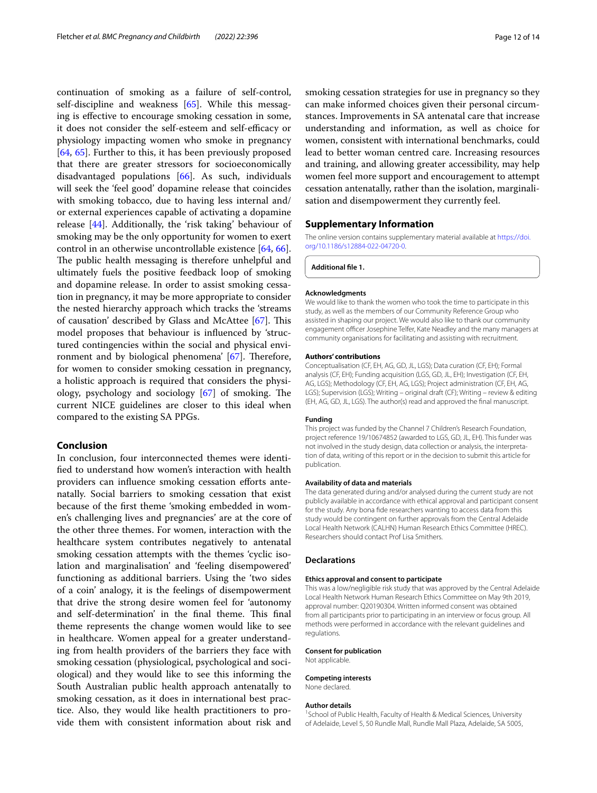continuation of smoking as a failure of self-control, self-discipline and weakness [\[65\]](#page-13-19). While this messaging is efective to encourage smoking cessation in some, it does not consider the self-esteem and self-efficacy or physiology impacting women who smoke in pregnancy [[64,](#page-13-18) [65\]](#page-13-19). Further to this, it has been previously proposed that there are greater stressors for socioeconomically disadvantaged populations [\[66](#page-13-20)]. As such, individuals will seek the 'feel good' dopamine release that coincides with smoking tobacco, due to having less internal and/ or external experiences capable of activating a dopamine release [[44\]](#page-13-5). Additionally, the 'risk taking' behaviour of smoking may be the only opportunity for women to exert control in an otherwise uncontrollable existence [[64](#page-13-18), [66](#page-13-20)]. The public health messaging is therefore unhelpful and ultimately fuels the positive feedback loop of smoking and dopamine release. In order to assist smoking cessation in pregnancy, it may be more appropriate to consider the nested hierarchy approach which tracks the 'streams of causation' described by Glass and McAttee  $[67]$  $[67]$ . This model proposes that behaviour is infuenced by 'structured contingencies within the social and physical environment and by biological phenomena'  $[67]$  $[67]$ . Therefore, for women to consider smoking cessation in pregnancy, a holistic approach is required that considers the physiology, psychology and sociology  $[67]$  $[67]$  of smoking. The current NICE guidelines are closer to this ideal when compared to the existing SA PPGs.

#### **Conclusion**

In conclusion, four interconnected themes were identifed to understand how women's interaction with health providers can infuence smoking cessation eforts antenatally. Social barriers to smoking cessation that exist because of the frst theme 'smoking embedded in women's challenging lives and pregnancies' are at the core of the other three themes. For women, interaction with the healthcare system contributes negatively to antenatal smoking cessation attempts with the themes 'cyclic isolation and marginalisation' and 'feeling disempowered' functioning as additional barriers. Using the 'two sides of a coin' analogy, it is the feelings of disempowerment that drive the strong desire women feel for 'autonomy and self-determination' in the final theme. This final theme represents the change women would like to see in healthcare. Women appeal for a greater understanding from health providers of the barriers they face with smoking cessation (physiological, psychological and sociological) and they would like to see this informing the South Australian public health approach antenatally to smoking cessation, as it does in international best practice. Also, they would like health practitioners to provide them with consistent information about risk and

smoking cessation strategies for use in pregnancy so they can make informed choices given their personal circumstances. Improvements in SA antenatal care that increase understanding and information, as well as choice for women, consistent with international benchmarks, could lead to better woman centred care. Increasing resources and training, and allowing greater accessibility, may help women feel more support and encouragement to attempt cessation antenatally, rather than the isolation, marginalisation and disempowerment they currently feel.

#### **Supplementary Information**

The online version contains supplementary material available at [https://doi.](https://doi.org/10.1186/s12884-022-04720-0) [org/10.1186/s12884-022-04720-0](https://doi.org/10.1186/s12884-022-04720-0).

<span id="page-11-0"></span>**Additional fle 1.**

#### **Acknowledgments**

We would like to thank the women who took the time to participate in this study, as well as the members of our Community Reference Group who assisted in shaping our project. We would also like to thank our community engagement officer Josephine Telfer, Kate Neadley and the many managers at community organisations for facilitating and assisting with recruitment.

#### **Authors' contributions**

Conceptualisation (CF, EH, AG, GD, JL, LGS); Data curation (CF, EH); Formal analysis (CF, EH); Funding acquisition (LGS, GD, JL, EH); Investigation (CF, EH, AG, LGS); Methodology (CF, EH, AG, LGS); Project administration (CF, EH, AG, LGS); Supervision (LGS); Writing – original draft (CF); Writing – review & editing (EH, AG, GD, JL, LGS). The author(s) read and approved the fnal manuscript.

#### **Funding**

This project was funded by the Channel 7 Children's Research Foundation, project reference 19/10674852 (awarded to LGS, GD, JL, EH). This funder was not involved in the study design, data collection or analysis, the interpretation of data, writing of this report or in the decision to submit this article for publication.

#### **Availability of data and materials**

The data generated during and/or analysed during the current study are not publicly available in accordance with ethical approval and participant consent for the study. Any bona fde researchers wanting to access data from this study would be contingent on further approvals from the Central Adelaide Local Health Network (CALHN) Human Research Ethics Committee (HREC). Researchers should contact Prof Lisa Smithers.

#### **Declarations**

#### **Ethics approval and consent to participate**

This was a low/negligible risk study that was approved by the Central Adelaide Local Health Network Human Research Ethics Committee on May 9th 2019, approval number: Q20190304. Written informed consent was obtained from all participants prior to participating in an interview or focus group. All methods were performed in accordance with the relevant guidelines and regulations.

#### **Consent for publication**

Not applicable.

#### **Competing interests**

None declared.

#### **Author details**

<sup>1</sup> School of Public Health, Faculty of Health & Medical Sciences, University of Adelaide, Level 5, 50 Rundle Mall, Rundle Mall Plaza, Adelaide, SA 5005,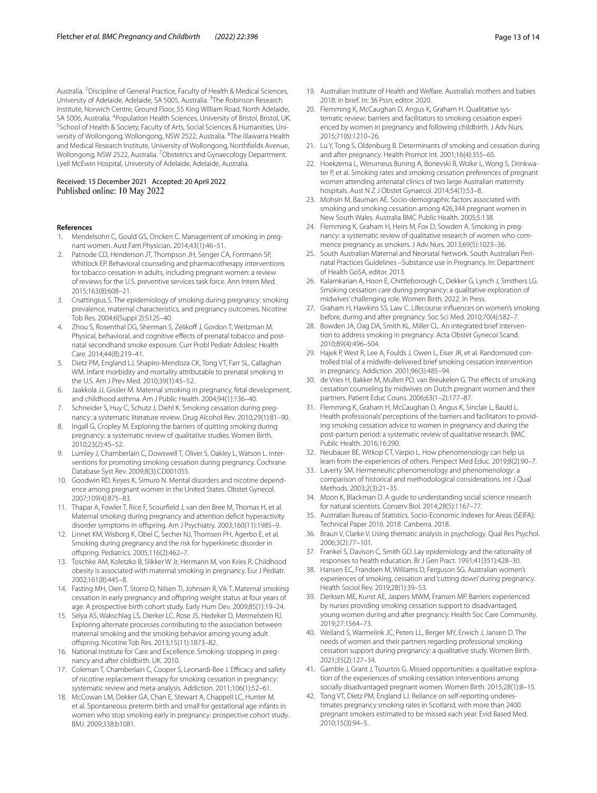Australia. <sup>2</sup> Discipline of General Practice, Faculty of Health & Medical Sciences, University of Adelaide, Adelaide, SA 5005, Australia. <sup>3</sup>The Robinson Research Institute, Norwich Centre, Ground Floor, 55 King William Road, North Adelaide, SA 5006, Australia. <sup>4</sup> Population Health Sciences, University of Bristol, Bristol, UK.<br><sup>5</sup>School of Health & Society Faculty of Arts Social Sciences & Humanities, Uni-<sup>5</sup> School of Health & Society, Faculty of Arts, Social Sciences & Humanities, University of Wollongong, Wollongong, NSW 2522, Australia. <sup>6</sup>The Illawarra Health and Medical Research Institute, University of Wollongong, Northfelds Avenue, Wollongong, NSW 2522, Australia. <sup>7</sup>Obstetrics and Gynaecology Department, Lyell McEwin Hospital, University of Adelaide, Adelaide, Australia.

# Received: 15 December 2021 Accepted: 20 April 2022

#### **References**

- <span id="page-12-0"></span>1. Mendelsohn C, Gould GS, Oncken C. Management of smoking in pregnant women. Aust Fam Physician. 2014;43(1):46–51.
- <span id="page-12-10"></span>2. Patnode CD, Henderson JT, Thompson JH, Senger CA, Fortmann SP, Whitlock EP. Behavioral counseling and pharmacotherapy interventions for tobacco cessation in adults, including pregnant women: a review of reviews for the U.S. preventive services task force. Ann Intern Med. 2015;163(8):608–21.
- 3. Cnattingius S. The epidemiology of smoking during pregnancy: smoking prevalence, maternal characteristics, and pregnancy outcomes. Nicotine Tob Res. 2004;6(Suppl 2):S125–40.
- 4. Zhou S, Rosenthal DG, Sherman S, Zelikoff J, Gordon T, Weitzman M. Physical, behavioral, and cognitive effects of prenatal tobacco and postnatal secondhand smoke exposure. Curr Probl Pediatr Adolesc Health Care. 2014;44(8):219–41.
- <span id="page-12-1"></span>5. Dietz PM, England LJ, Shapiro-Mendoza CK, Tong VT, Farr SL, Callaghan WM. Infant morbidity and mortality attributable to prenatal smoking in the U.S. Am J Prev Med. 2010;39(1):45–52.
- <span id="page-12-2"></span>6. Jaakkola JJ, Gissler M. Maternal smoking in pregnancy, fetal development, and childhood asthma. Am J Public Health. 2004;94(1):136–40.
- <span id="page-12-3"></span>7. Schneider S, Huy C, Schutz J, Diehl K. Smoking cessation during pregnancy: a systematic literature review. Drug Alcohol Rev. 2010;29(1):81–90.
- <span id="page-12-4"></span>8. Ingall G, Cropley M. Exploring the barriers of quitting smoking during pregnancy: a systematic review of qualitative studies. Women Birth. 2010;23(2):45–52.
- 9. Lumley J, Chamberlain C, Dowswell T, Oliver S, Oakley L, Watson L. Interventions for promoting smoking cessation during pregnancy. Cochrane Database Syst Rev. 2009;8(3):CD001055.
- <span id="page-12-5"></span>10. Goodwin RD, Keyes K, Simuro N. Mental disorders and nicotine dependence among pregnant women in the United States. Obstet Gynecol. 2007;109(4):875–83.
- <span id="page-12-6"></span>11. Thapar A, Fowler T, Rice F, Scourfeld J, van den Bree M, Thomas H, et al. Maternal smoking during pregnancy and attention defcit hyperactivity disorder symptoms in ofspring. Am J Psychiatry. 2003;160(11):1985–9.
- <span id="page-12-7"></span>12. Linnet KM, Wisborg K, Obel C, Secher NJ, Thomsen PH, Agerbo E, et al. Smoking during pregnancy and the risk for hyperkinetic disorder in ofspring. Pediatrics. 2005;116(2):462–7.
- <span id="page-12-8"></span>13. Toschke AM, Koletzko B, Slikker W Jr, Hermann M, von Kries R. Childhood obesity is associated with maternal smoking in pregnancy. Eur J Pediatr. 2002;161(8):445–8.
- <span id="page-12-9"></span>14. Fasting MH, Oien T, Storro O, Nilsen TI, Johnsen R, Vik T. Maternal smoking cessation in early pregnancy and ofspring weight status at four years of age. A prospective birth cohort study. Early Hum Dev. 2009;85(1):19–24.
- <span id="page-12-11"></span>15. Selya AS, Wakschlag LS, Dierker LC, Rose JS, Hedeker D, Mermelstein RJ. Exploring alternate processes contributing to the association between maternal smoking and the smoking behavior among young adult ofspring. Nicotine Tob Res. 2013;15(11):1873–82.
- <span id="page-12-12"></span>16. National Institute for Care and Excellence. Smoking: stopping in pregnancy and after childbirth. UK. 2010.
- <span id="page-12-13"></span>17. Coleman T, Chamberlain C, Cooper S, Leonardi-Bee J. Efficacy and safety of nicotine replacement therapy for smoking cessation in pregnancy: systematic review and meta-analysis. Addiction. 2011;106(1):52–61.
- <span id="page-12-14"></span>18. McCowan LM, Dekker GA, Chan E, Stewart A, Chappell LC, Hunter M, et al. Spontaneous preterm birth and small for gestational age infants in women who stop smoking early in pregnancy: prospective cohort study. BMJ. 2009;338:b1081.
- <span id="page-12-15"></span>19. Australian Institute of Health and Welfare. Australia's mothers and babies 2018: in brief. In: 36 Pssn, editor. 2020.
- <span id="page-12-17"></span>20. Flemming K, McCaughan D, Angus K, Graham H. Qualitative systematic review: barriers and facilitators to smoking cessation experienced by women in pregnancy and following childbirth. J Adv Nurs. 2015;71(6):1210–26.
- 21. Lu Y, Tong S, Oldenburg B. Determinants of smoking and cessation during and after pregnancy. Health Promot Int. 2001;16(4):355–65.
- 22. Hoekzema L, Werumeus Buning A, Bonevski B, Wolke L, Wong S, Drinkwater P, et al. Smoking rates and smoking cessation preferences of pregnant women attending antenatal clinics of two large Australian maternity hospitals. Aust N Z J Obstet Gynaecol. 2014;54(1):53–8.
- <span id="page-12-16"></span>23. Mohsin M, Bauman AE. Socio-demographic factors associated with smoking and smoking cessation among 426,344 pregnant women in New South Wales. Australia BMC Public Health. 2005;5:138.
- <span id="page-12-18"></span>24. Flemming K, Graham H, Heirs M, Fox D, Sowden A. Smoking in pregnancy: a systematic review of qualitative research of women who commence pregnancy as smokers. J Adv Nurs. 2013;69(5):1023–36.
- <span id="page-12-19"></span>25. South Australian Maternal and Neonatal Network. South Australian Perinatal Practices Guidelines –Substance use in Pregnancy. In: Department of Health GoSA, editor. 2013.
- <span id="page-12-20"></span>26. Kalamkarian A, Hoon E, Chittleborough C, Dekker G, Lynch J, Smithers LG. Smoking cessation care during pregnancy: a qualitative exploration of midwives' challenging role. Women Birth. 2022. In Press.
- <span id="page-12-21"></span>27. Graham H, Hawkins SS, Law C. Lifecourse infuences on women's smoking before, during and after pregnancy. Soc Sci Med. 2010;70(4):582–7.
- <span id="page-12-22"></span>28. Bowden JA, Oag DA, Smith KL, Miller CL. An integrated brief intervention to address smoking in pregnancy. Acta Obstet Gynecol Scand. 2010;89(4):496–504.
- <span id="page-12-23"></span>29. Hajek P, West R, Lee A, Foulds J, Owen L, Eiser JR, et al. Randomized controlled trial of a midwife-delivered brief smoking cessation intervention in pregnancy. Addiction. 2001;96(3):485–94.
- 30. de Vries H, Bakker M, Mullen PD, van Breukelen G. The efects of smoking cessation counseling by midwives on Dutch pregnant women and their partners. Patient Educ Couns. 2006;63(1–2):177–87.
- <span id="page-12-24"></span>31. Flemming K, Graham H, McCaughan D, Angus K, Sinclair L, Bauld L. Health professionals' perceptions of the barriers and facilitators to providing smoking cessation advice to women in pregnancy and during the post-partum period: a systematic review of qualitative research. BMC Public Health. 2016;16:290.
- <span id="page-12-25"></span>32. Neubauer BE, Witkop CT, Varpio L. How phenomenology can help us learn from the experiences of others. Perspect Med Educ. 2019;8(2):90–7.
- <span id="page-12-26"></span>33. Laverty SM. Hermeneutic phenomenology and phenomenology: a comparison of historical and methodological considerations. Int J Qual Methods. 2003;2(3):21–35.
- <span id="page-12-27"></span>34. Moon K, Blackman D. A guide to understanding social science research for natural scientists. Conserv Biol. 2014;28(5):1167–77.
- <span id="page-12-28"></span>35. Australian Bureau of Statistics. Socio-Economic Indexes for Areas (SEIFA): Technical Paper 2016. 2018. Canberra. 2018.
- <span id="page-12-29"></span>36. Braun V, Clarke V. Using thematic analysis in psychology. Qual Res Psychol. 2006;3(2):77–101.
- <span id="page-12-30"></span>37. Frankel S, Davison C, Smith GD. Lay epidemiology and the rationality of responses to health education. Br J Gen Pract. 1991;41(351):428–30.
- <span id="page-12-31"></span>38. Hansen EC, Frandsen M, Williams D, Ferguson SG. Australian women's experiences of smoking, cessation and 'cutting down' during pregnancy. Health Sociol Rev. 2019;28(1):39–53.
- <span id="page-12-32"></span>39. Derksen ME, Kunst AE, Jaspers MWM, Fransen MP. Barriers experienced by nurses providing smoking cessation support to disadvantaged, young women during and after pregnancy. Health Soc Care Community. 2019;27:1564–73.
- <span id="page-12-33"></span>40. Weiland S, Warmelink JC, Peters LL, Berger MY, Erwich J, Jansen D. The needs of women and their partners regarding professional smoking cessation support during pregnancy: a qualitative study. Women Birth. 2021;35(2):127–34.
- <span id="page-12-34"></span>41. Gamble J, Grant J, Tsourtos G. Missed opportunities: a qualitative exploration of the experiences of smoking cessation interventions among socially disadvantaged pregnant women. Women Birth. 2015;28(1):8–15.
- 42. Tong VT, Dietz PM, England LJ. Reliance on self-reporting underestimates pregnancy smoking rates in Scotland, with more than 2400 pregnant smokers estimated to be missed each year. Evid Based Med. 2010;15(3):94–5.